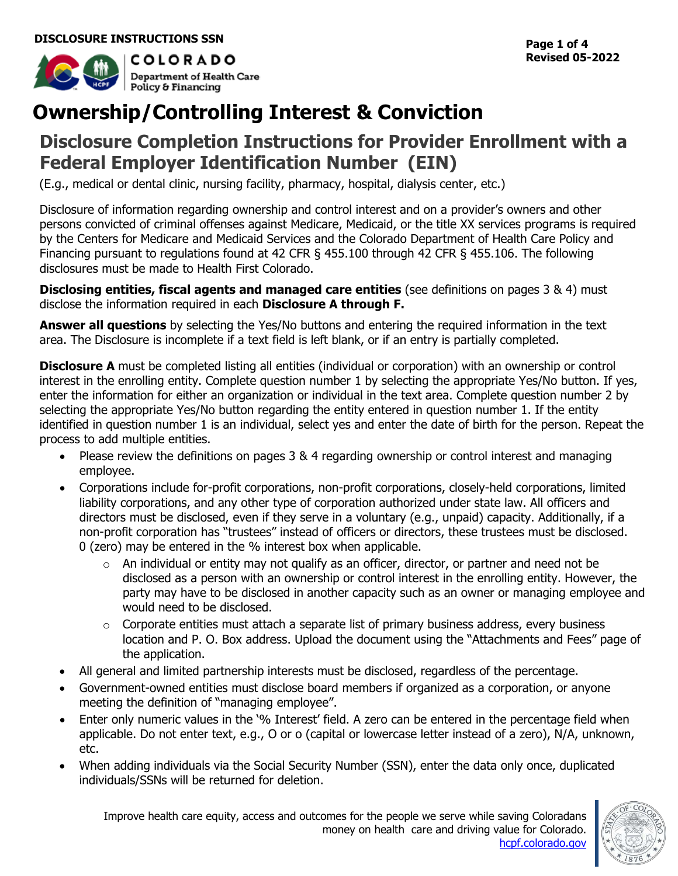

# **Ownership/Controlling Interest & Conviction**

## **Disclosure Completion Instructions for Provider Enrollment with a Federal Employer Identification Number (EIN)**

(E.g., medical or dental clinic, nursing facility, pharmacy, hospital, dialysis center, etc.)

Disclosure of information regarding ownership and control interest and on a provider's owners and other persons convicted of criminal offenses against Medicare, Medicaid, or the title XX services programs is required by the Centers for Medicare and Medicaid Services and the Colorado Department of Health Care Policy and Financing pursuant to regulations found at 42 CFR § 455.100 through 42 CFR § 455.106. The following disclosures must be made to Health First Colorado.

**Disclosing entities, fiscal agents and managed care entities** (see definitions on pages 3 & 4) must disclose the information required in each **Disclosure A through F.**

**Answer all questions** by selecting the Yes/No buttons and entering the required information in the text area. The Disclosure is incomplete if a text field is left blank, or if an entry is partially completed.

**Disclosure A** must be completed listing all entities (individual or corporation) with an ownership or control interest in the enrolling entity. Complete question number 1 by selecting the appropriate Yes/No button. If yes, enter the information for either an organization or individual in the text area. Complete question number 2 by selecting the appropriate Yes/No button regarding the entity entered in question number 1. If the entity identified in question number 1 is an individual, select yes and enter the date of birth for the person. Repeat the process to add multiple entities.

- Please review the definitions on pages 3 & 4 regarding ownership or control interest and managing employee.
- Corporations include for-profit corporations, non-profit corporations, closely-held corporations, limited liability corporations, and any other type of corporation authorized under state law. All officers and directors must be disclosed, even if they serve in a voluntary (e.g., unpaid) capacity. Additionally, if a non-profit corporation has "trustees" instead of officers or directors, these trustees must be disclosed. 0 (zero) may be entered in the % interest box when applicable.
	- $\circ$  An individual or entity may not qualify as an officer, director, or partner and need not be disclosed as a person with an ownership or control interest in the enrolling entity. However, the party may have to be disclosed in another capacity such as an owner or managing employee and would need to be disclosed.
	- $\circ$  Corporate entities must attach a separate list of primary business address, every business location and P. O. Box address. Upload the document using the "Attachments and Fees" page of the application.
- All general and limited partnership interests must be disclosed, regardless of the percentage.
- Government-owned entities must disclose board members if organized as a corporation, or anyone meeting the definition of "managing employee".
- Enter only numeric values in the '% Interest' field. A zero can be entered in the percentage field when applicable. Do not enter text, e.g., O or o (capital or lowercase letter instead of a zero), N/A, unknown, etc.
- When adding individuals via the Social Security Number (SSN), enter the data only once, duplicated individuals/SSNs will be returned for deletion.

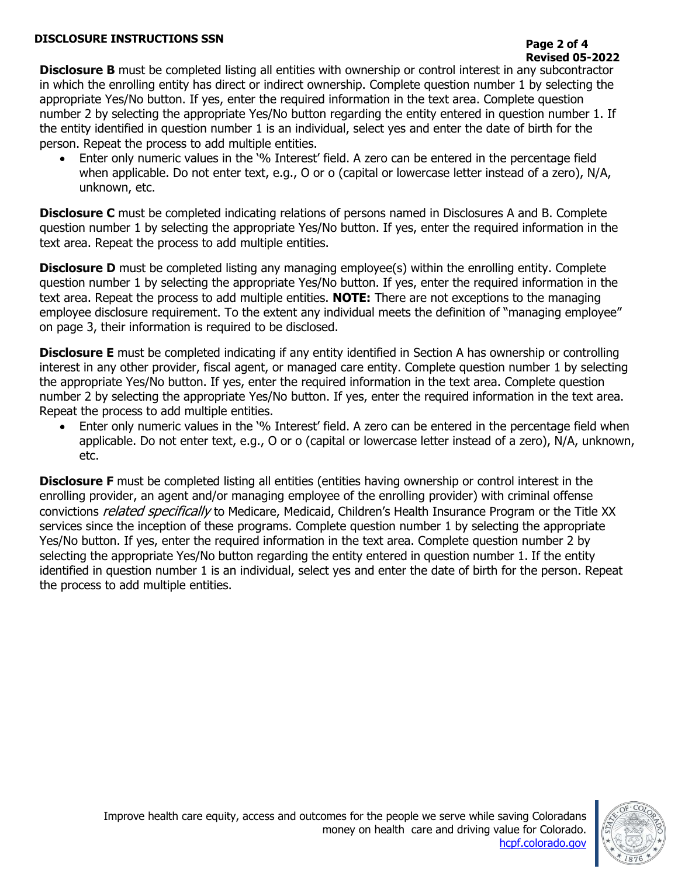#### **DISCLOSURE INSTRUCTIONS SSN**

**Disclosure B** must be completed listing all entities with ownership or control interest in any subcontractor in which the enrolling entity has direct or indirect ownership. Complete question number 1 by selecting the appropriate Yes/No button. If yes, enter the required information in the text area. Complete question number 2 by selecting the appropriate Yes/No button regarding the entity entered in question number 1. If the entity identified in question number 1 is an individual, select yes and enter the date of birth for the person. Repeat the process to add multiple entities.

Enter only numeric values in the '% Interest' field. A zero can be entered in the percentage field when applicable. Do not enter text, e.g., O or o (capital or lowercase letter instead of a zero), N/A, unknown, etc.

**Disclosure C** must be completed indicating relations of persons named in Disclosures A and B. Complete question number 1 by selecting the appropriate Yes/No button. If yes, enter the required information in the text area. Repeat the process to add multiple entities.

**Disclosure D** must be completed listing any managing employee(s) within the enrolling entity. Complete question number 1 by selecting the appropriate Yes/No button. If yes, enter the required information in the text area. Repeat the process to add multiple entities. **NOTE:** There are not exceptions to the managing employee disclosure requirement. To the extent any individual meets the definition of "managing employee" on page 3, their information is required to be disclosed.

**Disclosure E** must be completed indicating if any entity identified in Section A has ownership or controlling interest in any other provider, fiscal agent, or managed care entity. Complete question number 1 by selecting the appropriate Yes/No button. If yes, enter the required information in the text area. Complete question number 2 by selecting the appropriate Yes/No button. If yes, enter the required information in the text area. Repeat the process to add multiple entities.

Enter only numeric values in the '% Interest' field. A zero can be entered in the percentage field when applicable. Do not enter text, e.g., O or o (capital or lowercase letter instead of a zero), N/A, unknown, etc.

**Disclosure F** must be completed listing all entities (entities having ownership or control interest in the enrolling provider, an agent and/or managing employee of the enrolling provider) with criminal offense convictions *related specifically* to Medicare, Medicaid, Children's Health Insurance Program or the Title XX services since the inception of these programs. Complete question number 1 by selecting the appropriate Yes/No button. If yes, enter the required information in the text area. Complete question number 2 by selecting the appropriate Yes/No button regarding the entity entered in question number 1. If the entity identified in question number 1 is an individual, select yes and enter the date of birth for the person. Repeat the process to add multiple entities.

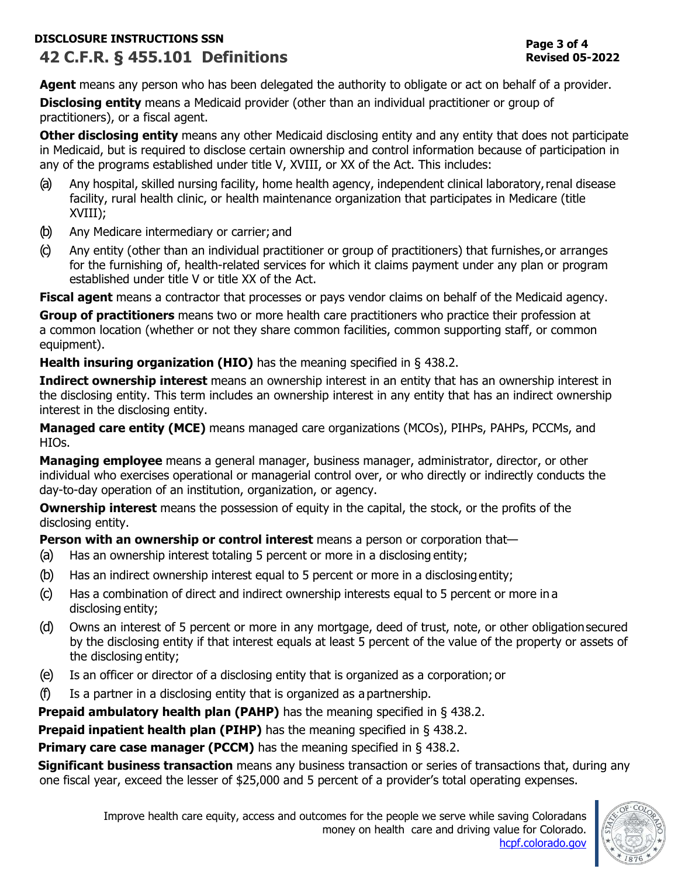## **DISCLOSURE INSTRUCTIONS SSN 42 C.F.R. § 455.101 Definitions**

Agent means any person who has been delegated the authority to obligate or act on behalf of a provider. **Disclosing entity** means a Medicaid provider (other than an individual practitioner or group of practitioners), or a fiscal agent.

**Other disclosing entity** means any other Medicaid disclosing entity and any entity that does not participate in Medicaid, but is required to disclose certain ownership and control information because of participation in any of the programs established under title V, XVIII, or XX of the Act. This includes:

- (a) Any hospital, skilled nursing facility, home health agency, independent clinical laboratory,renal disease facility, rural health clinic, or health maintenance organization that participates in Medicare (title XVIII);
- (b) Any Medicare intermediary or carrier; and
- (c) Any entity (other than an individual practitioner or group of practitioners) that furnishes,or arranges for the furnishing of, health-related services for which it claims payment under any plan or program established under title V or title XX of the Act.

**Fiscal agent** means a contractor that processes or pays vendor claims on behalf of the Medicaid agency.

**Group of practitioners** means two or more health care practitioners who practice their profession at a common location (whether or not they share common facilities, common supporting staff, or common equipment).

**Health insuring organization (HIO)** has the meaning specified in [§ 438.2.](https://www.ecfr.gov/current/title-42/section-438.2)

**Indirect ownership interest** means an ownership interest in an entity that has an ownership interest in the disclosing entity. This term includes an ownership interest in any entity that has an indirect ownership interest in the disclosing entity.

**Managed care entity (MCE)** means managed care organizations (MCOs), PIHPs, PAHPs, PCCMs, and HIOs.

**Managing employee** means a general manager, business manager, administrator, director, or other individual who exercises operational or managerial control over, or who directly or indirectly conducts the day-to-day operation of an institution, organization, or agency.

**Ownership interest** means the possession of equity in the capital, the stock, or the profits of the disclosing entity.

**Person with an ownership or control interest** means a person or corporation that—

- (a) Has an ownership interest totaling 5 percent or more in a disclosing entity;
- (b) Has an indirect ownership interest equal to 5 percent or more in a disclosingentity;
- (c) Has a combination of direct and indirect ownership interests equal to 5 percent or more in a disclosing entity;
- (d) Owns an interest of 5 percent or more in any mortgage, deed of trust, note, or other obligationsecured by the disclosing entity if that interest equals at least 5 percent of the value of the property or assets of the disclosing entity;
- (e) Is an officer or director of a disclosing entity that is organized as a corporation; or
- (f) Is a partner in a disclosing entity that is organized as a partnership.

**Prepaid ambulatory health plan (PAHP)** has the meaning specified in [§ 438.2.](https://www.ecfr.gov/current/title-42/section-438.2)

**Prepaid inpatient health plan (PIHP)** has the meaning specified in [§ 438.2.](https://www.ecfr.gov/current/title-42/section-438.2)

**Primary care case manager (PCCM)** has the meaning specified in [§ 438.2.](https://www.ecfr.gov/current/title-42/section-438.2)

**Significant business transaction** means any business transaction or series of transactions that, during any one fiscal year, exceed the lesser of \$25,000 and 5 percent of a provider's total operating expenses.